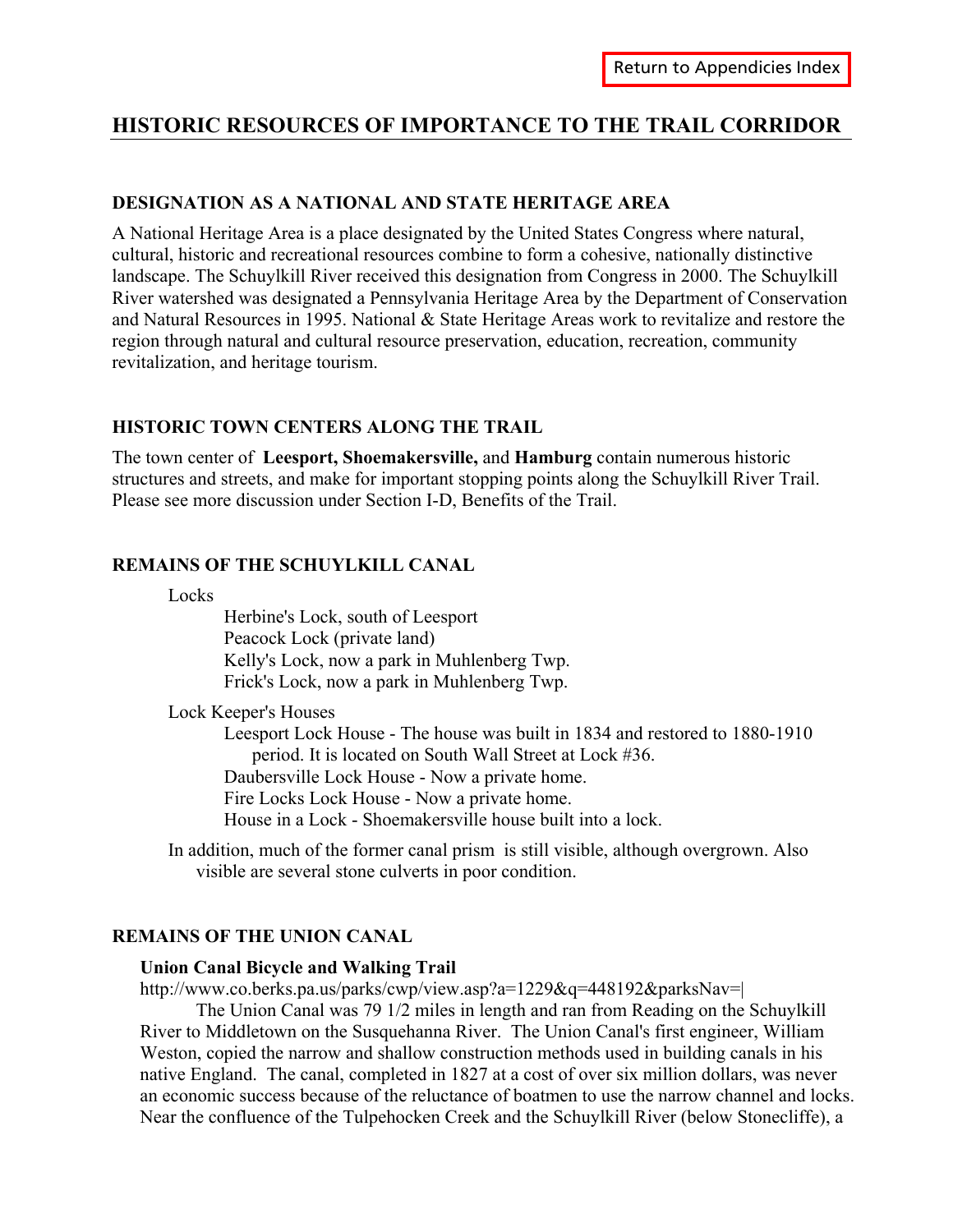# **HISTORIC RESOURCES OF IMPORTANCE TO THE TRAIL CORRIDOR**

## **DESIGNATION AS A NATIONAL AND STATE HERITAGE AREA**

A National Heritage Area is a place designated by the United States Congress where natural, cultural, historic and recreational resources combine to form a cohesive, nationally distinctive landscape. The Schuylkill River received this designation from Congress in 2000. The Schuylkill River watershed was designated a Pennsylvania Heritage Area by the Department of Conservation and Natural Resources in 1995. National & State Heritage Areas work to revitalize and restore the region through natural and cultural resource preservation, education, recreation, community revitalization, and heritage tourism.

## **HISTORIC TOWN CENTERS ALONG THE TRAIL**

The town center of **Leesport, Shoemakersville,** and **Hamburg** contain numerous historic structures and streets, and make for important stopping points along the Schuylkill River Trail. Please see more discussion under Section I-D, Benefits of the Trail.

## **REMAINS OF THE SCHUYLKILL CANAL**

Locks

Herbine's Lock, south of Leesport Peacock Lock (private land) Kelly's Lock, now a park in Muhlenberg Twp. Frick's Lock, now a park in Muhlenberg Twp.

Lock Keeper's Houses

Leesport Lock House - The house was built in 1834 and restored to 1880-1910 period. It is located on South Wall Street at Lock #36. Daubersville Lock House - Now a private home. Fire Locks Lock House - Now a private home. House in a Lock - Shoemakersville house built into a lock.

In addition, much of the former canal prism is still visible, although overgrown. Also visible are several stone culverts in poor condition.

### **REMAINS OF THE UNION CANAL**

### **Union Canal Bicycle and Walking Trail**

http://www.co.berks.pa.us/parks/cwp/view.asp?a=1229&q=448192&parksNav=|

 The Union Canal was 79 1/2 miles in length and ran from Reading on the Schuylkill River to Middletown on the Susquehanna River. The Union Canal's first engineer, William Weston, copied the narrow and shallow construction methods used in building canals in his native England. The canal, completed in 1827 at a cost of over six million dollars, was never an economic success because of the reluctance of boatmen to use the narrow channel and locks. Near the confluence of the Tulpehocken Creek and the Schuylkill River (below Stonecliffe), a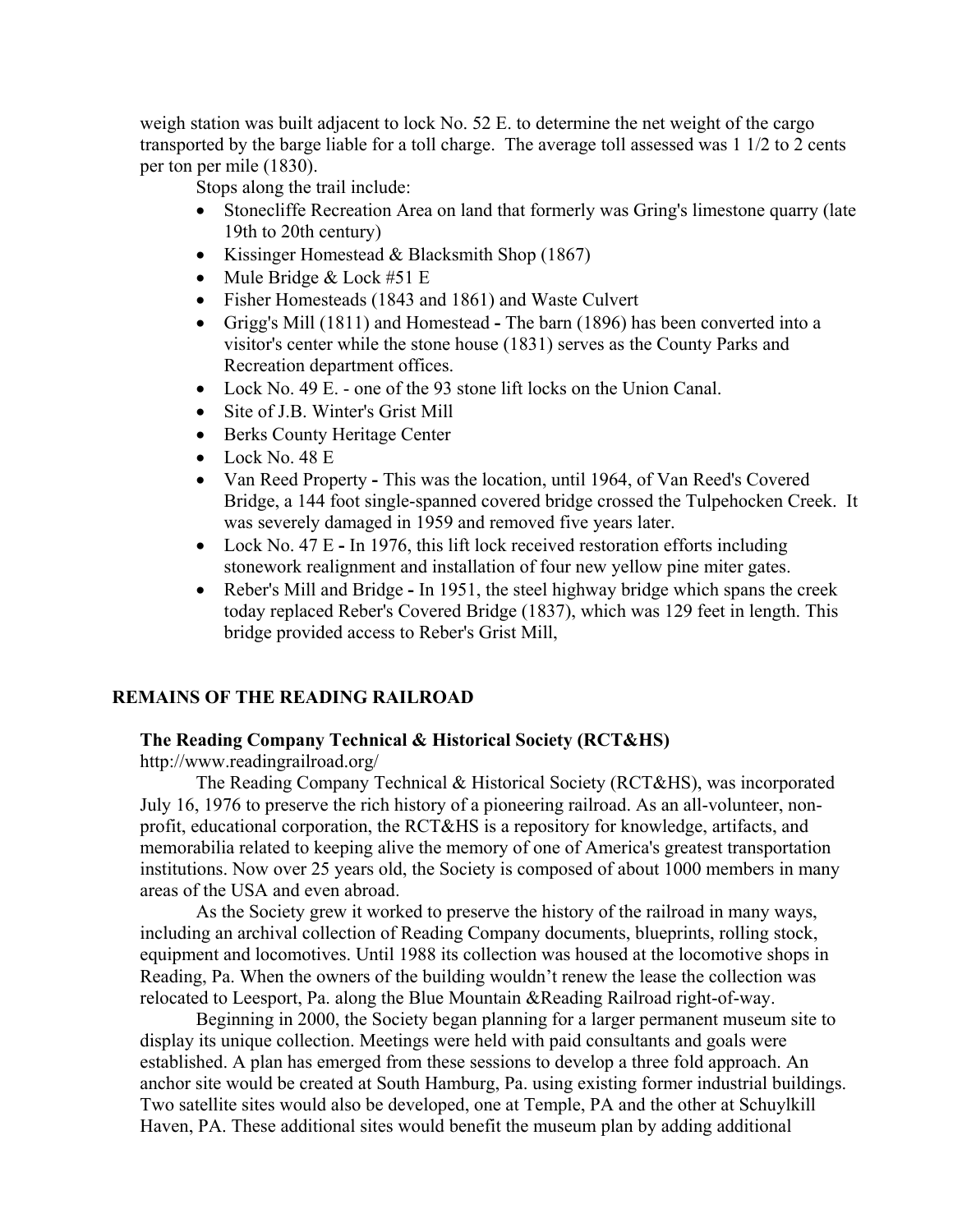weigh station was built adjacent to lock No. 52 E. to determine the net weight of the cargo transported by the barge liable for a toll charge. The average toll assessed was 1 1/2 to 2 cents per ton per mile (1830).

Stops along the trail include:

- Stonecliffe Recreation Area on land that formerly was Gring's limestone quarry (late 19th to 20th century)
- Kissinger Homestead & Blacksmith Shop (1867)
- Mule Bridge & Lock #51 E
- Fisher Homesteads (1843 and 1861) and Waste Culvert
- Grigg's Mill (1811) and HomesteadThe barn (1896) has been converted into a visitor's center while the stone house (1831) serves as the County Parks and Recreation department offices.
- Lock No. 49 E. one of the 93 stone lift locks on the Union Canal.
- Site of J.B. Winter's Grist Mill
- Berks County Heritage Center
- Lock No. 48 E
- Van Reed PropertyThis was the location, until 1964, of Van Reed's Covered Bridge, a 144 foot single-spanned covered bridge crossed the Tulpehocken Creek. It was severely damaged in 1959 and removed five years later.
- Lock No. 47 EIn 1976, this lift lock received restoration efforts including stonework realignment and installation of four new yellow pine miter gates.
- Reber's Mill and BridgeIn 1951, the steel highway bridge which spans the creek today replaced Reber's Covered Bridge (1837), which was 129 feet in length. This bridge provided access to Reber's Grist Mill,

## **REMAINS OF THE READING RAILROAD**

## **The Reading Company Technical & Historical Society (RCT&HS)**

http://www.readingrailroad.org/

 The Reading Company Technical & Historical Society (RCT&HS), was incorporated July 16, 1976 to preserve the rich history of a pioneering railroad. As an all-volunteer, nonprofit, educational corporation, the RCT&HS is a repository for knowledge, artifacts, and memorabilia related to keeping alive the memory of one of America's greatest transportation institutions. Now over 25 years old, the Society is composed of about 1000 members in many areas of the USA and even abroad.

 As the Society grew it worked to preserve the history of the railroad in many ways, including an archival collection of Reading Company documents, blueprints, rolling stock, equipment and locomotives. Until 1988 its collection was housed at the locomotive shops in Reading, Pa. When the owners of the building wouldn't renew the lease the collection was relocated to Leesport, Pa. along the Blue Mountain &Reading Railroad right-of-way.

 Beginning in 2000, the Society began planning for a larger permanent museum site to display its unique collection. Meetings were held with paid consultants and goals were established. A plan has emerged from these sessions to develop a three fold approach. An anchor site would be created at South Hamburg, Pa. using existing former industrial buildings. Two satellite sites would also be developed, one at Temple, PA and the other at Schuylkill Haven, PA. These additional sites would benefit the museum plan by adding additional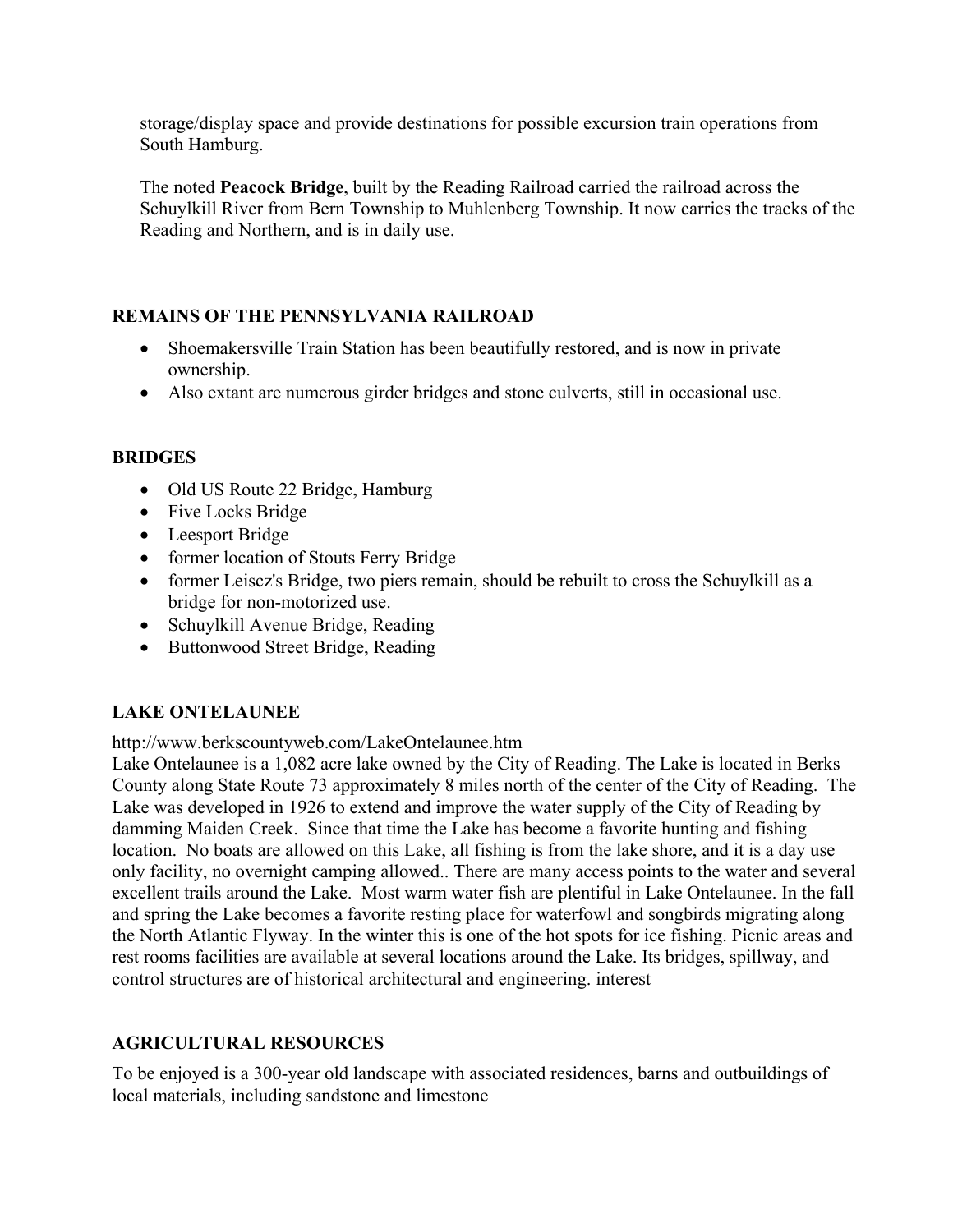storage/display space and provide destinations for possible excursion train operations from South Hamburg.

The noted **Peacock Bridge**, built by the Reading Railroad carried the railroad across the Schuylkill River from Bern Township to Muhlenberg Township. It now carries the tracks of the Reading and Northern, and is in daily use.

## **REMAINS OF THE PENNSYLVANIA RAILROAD**

- Shoemakersville Train Station has been beautifully restored, and is now in private ownership.
- Also extant are numerous girder bridges and stone culverts, still in occasional use.

## **BRIDGES**

- Old US Route 22 Bridge, Hamburg
- Five Locks Bridge
- Leesport Bridge
- former location of Stouts Ferry Bridge
- former Leiscz's Bridge, two piers remain, should be rebuilt to cross the Schuylkill as a bridge for non-motorized use.
- Schuylkill Avenue Bridge, Reading
- Buttonwood Street Bridge, Reading

## **LAKE ONTELAUNEE**

http://www.berkscountyweb.com/LakeOntelaunee.htm

Lake Ontelaunee is a 1,082 acre lake owned by the City of Reading. The Lake is located in Berks County along State Route 73 approximately 8 miles north of the center of the City of Reading. The Lake was developed in 1926 to extend and improve the water supply of the City of Reading by damming Maiden Creek. Since that time the Lake has become a favorite hunting and fishing location. No boats are allowed on this Lake, all fishing is from the lake shore, and it is a day use only facility, no overnight camping allowed.. There are many access points to the water and several excellent trails around the Lake. Most warm water fish are plentiful in Lake Ontelaunee. In the fall and spring the Lake becomes a favorite resting place for waterfowl and songbirds migrating along the North Atlantic Flyway. In the winter this is one of the hot spots for ice fishing. Picnic areas and rest rooms facilities are available at several locations around the Lake. Its bridges, spillway, and control structures are of historical architectural and engineering. interest

## **AGRICULTURAL RESOURCES**

To be enjoyed is a 300-year old landscape with associated residences, barns and outbuildings of local materials, including sandstone and limestone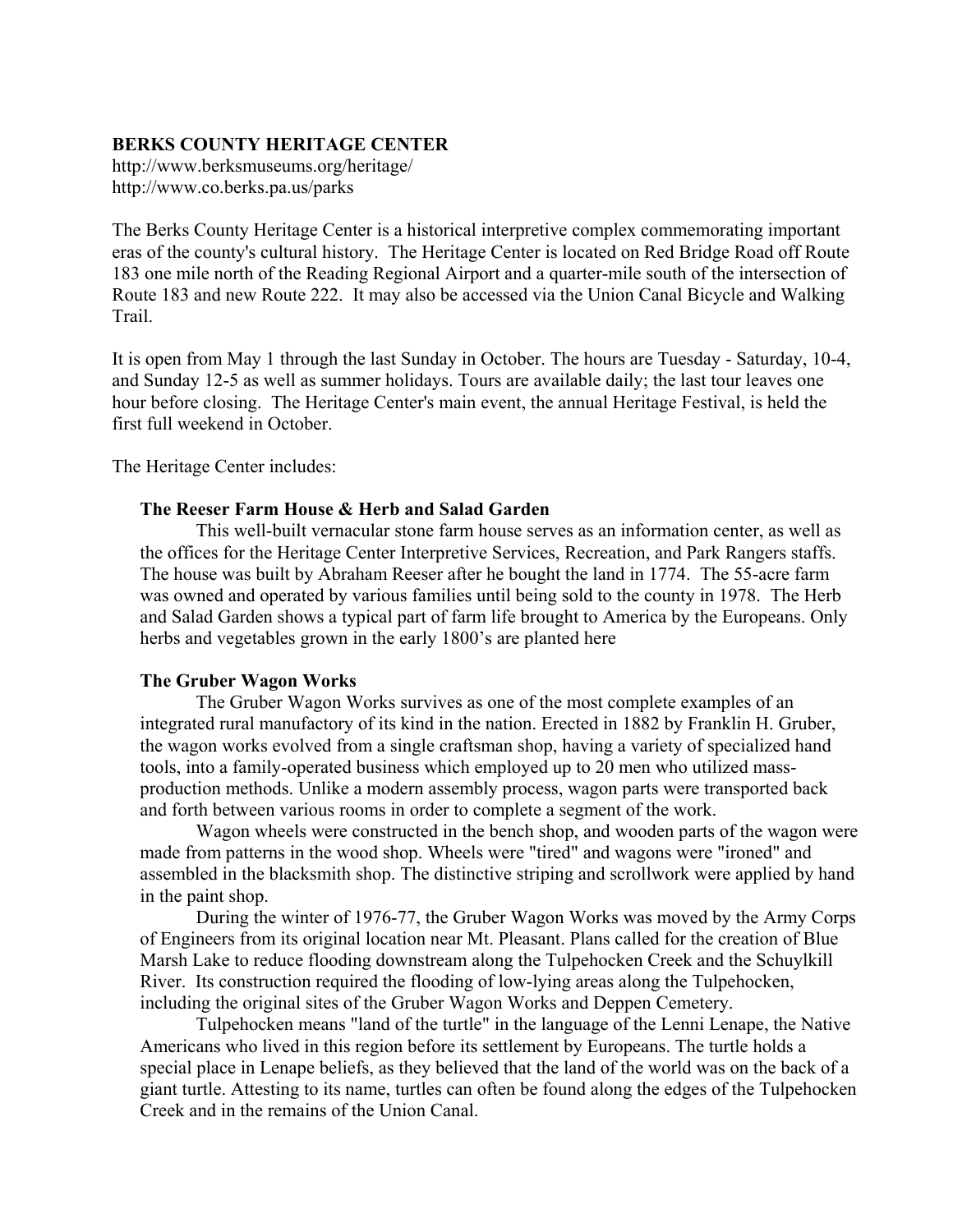### **BERKS COUNTY HERITAGE CENTER**

http://www.berksmuseums.org/heritage/ http://www.co.berks.pa.us/parks

The Berks County Heritage Center is a historical interpretive complex commemorating important eras of the county's cultural history. The Heritage Center is located on Red Bridge Road off Route 183 one mile north of the Reading Regional Airport and a quarter-mile south of the intersection of Route 183 and new Route 222. It may also be accessed via the Union Canal Bicycle and Walking Trail.

It is open from May 1 through the last Sunday in October. The hours are Tuesday - Saturday, 10-4, and Sunday 12-5 as well as summer holidays. Tours are available daily; the last tour leaves one hour before closing. The Heritage Center's main event, the annual Heritage Festival, is held the first full weekend in October.

The Heritage Center includes:

## **The Reeser Farm House & Herb and Salad Garden**

 This well-built vernacular stone farm house serves as an information center, as well as the offices for the Heritage Center Interpretive Services, Recreation, and Park Rangers staffs. The house was built by Abraham Reeser after he bought the land in 1774. The 55-acre farm was owned and operated by various families until being sold to the county in 1978. The Herb and Salad Garden shows a typical part of farm life brought to America by the Europeans. Only herbs and vegetables grown in the early 1800's are planted here

### **The Gruber Wagon Works**

 The Gruber Wagon Works survives as one of the most complete examples of an integrated rural manufactory of its kind in the nation. Erected in 1882 by Franklin H. Gruber, the wagon works evolved from a single craftsman shop, having a variety of specialized hand tools, into a family-operated business which employed up to 20 men who utilized massproduction methods. Unlike a modern assembly process, wagon parts were transported back and forth between various rooms in order to complete a segment of the work.

 Wagon wheels were constructed in the bench shop, and wooden parts of the wagon were made from patterns in the wood shop. Wheels were "tired" and wagons were "ironed" and assembled in the blacksmith shop. The distinctive striping and scrollwork were applied by hand in the paint shop.

 During the winter of 1976-77, the Gruber Wagon Works was moved by the Army Corps of Engineers from its original location near Mt. Pleasant. Plans called for the creation of Blue Marsh Lake to reduce flooding downstream along the Tulpehocken Creek and the Schuylkill River. Its construction required the flooding of low-lying areas along the Tulpehocken, including the original sites of the Gruber Wagon Works and Deppen Cemetery.

 Tulpehocken means "land of the turtle" in the language of the Lenni Lenape, the Native Americans who lived in this region before its settlement by Europeans. The turtle holds a special place in Lenape beliefs, as they believed that the land of the world was on the back of a giant turtle. Attesting to its name, turtles can often be found along the edges of the Tulpehocken Creek and in the remains of the Union Canal.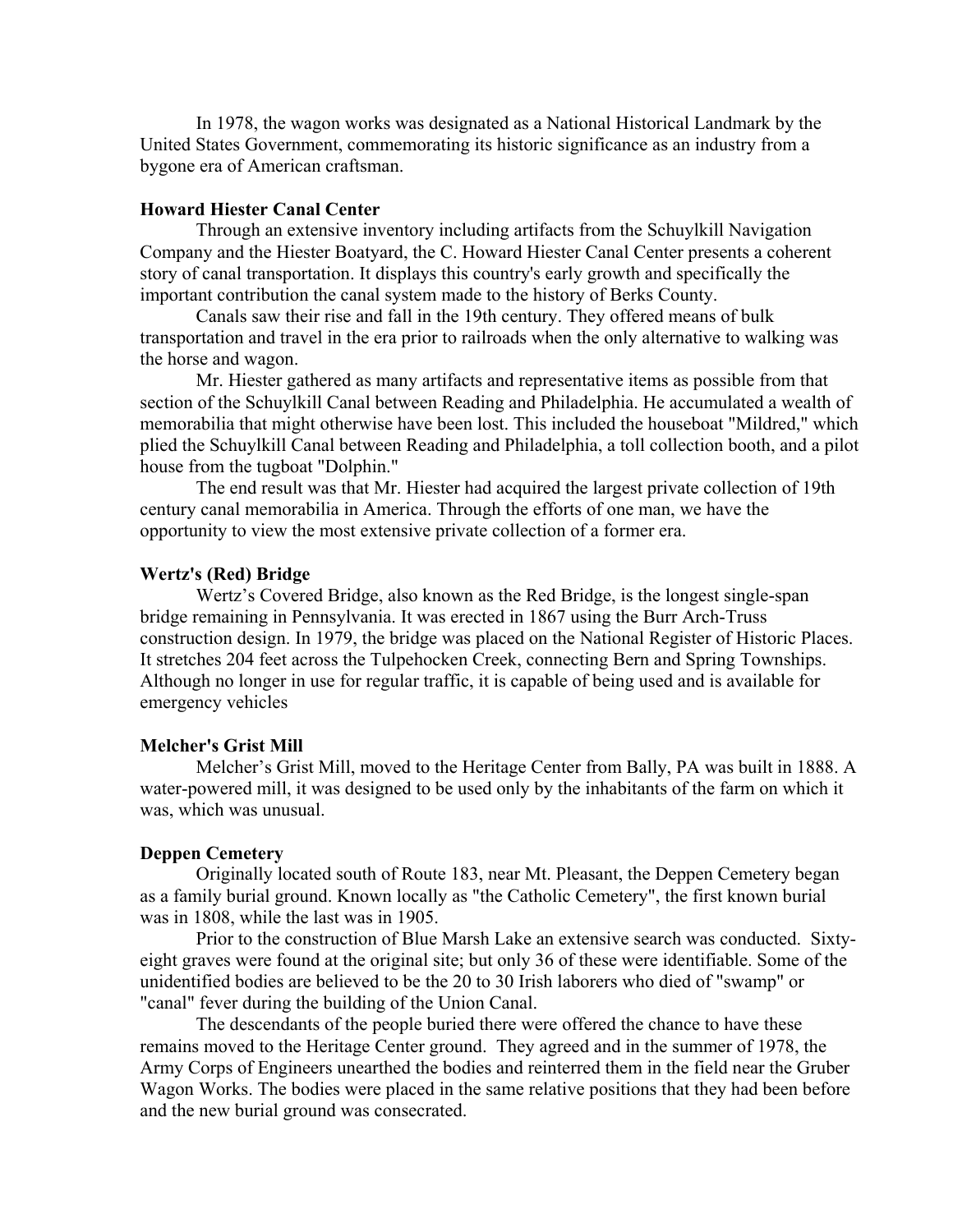In 1978, the wagon works was designated as a National Historical Landmark by the United States Government, commemorating its historic significance as an industry from a bygone era of American craftsman.

### **Howard Hiester Canal Center**

 Through an extensive inventory including artifacts from the Schuylkill Navigation Company and the Hiester Boatyard, the C. Howard Hiester Canal Center presents a coherent story of canal transportation. It displays this country's early growth and specifically the important contribution the canal system made to the history of Berks County.

 Canals saw their rise and fall in the 19th century. They offered means of bulk transportation and travel in the era prior to railroads when the only alternative to walking was the horse and wagon.

 Mr. Hiester gathered as many artifacts and representative items as possible from that section of the Schuylkill Canal between Reading and Philadelphia. He accumulated a wealth of memorabilia that might otherwise have been lost. This included the houseboat "Mildred," which plied the Schuylkill Canal between Reading and Philadelphia, a toll collection booth, and a pilot house from the tugboat "Dolphin."

 The end result was that Mr. Hiester had acquired the largest private collection of 19th century canal memorabilia in America. Through the efforts of one man, we have the opportunity to view the most extensive private collection of a former era.

#### **Wertz's (Red) Bridge**

 Wertz's Covered Bridge, also known as the Red Bridge, is the longest single-span bridge remaining in Pennsylvania. It was erected in 1867 using the Burr Arch-Truss construction design. In 1979, the bridge was placed on the National Register of Historic Places. It stretches 204 feet across the Tulpehocken Creek, connecting Bern and Spring Townships. Although no longer in use for regular traffic, it is capable of being used and is available for emergency vehicles

#### **Melcher's Grist Mill**

 Melcher's Grist Mill, moved to the Heritage Center from Bally, PA was built in 1888. A water-powered mill, it was designed to be used only by the inhabitants of the farm on which it was, which was unusual.

#### **Deppen Cemetery**

 Originally located south of Route 183, near Mt. Pleasant, the Deppen Cemetery began as a family burial ground. Known locally as "the Catholic Cemetery", the first known burial was in 1808, while the last was in 1905.

 Prior to the construction of Blue Marsh Lake an extensive search was conducted. Sixtyeight graves were found at the original site; but only 36 of these were identifiable. Some of the unidentified bodies are believed to be the 20 to 30 Irish laborers who died of "swamp" or "canal" fever during the building of the Union Canal.

 The descendants of the people buried there were offered the chance to have these remains moved to the Heritage Center ground. They agreed and in the summer of 1978, the Army Corps of Engineers unearthed the bodies and reinterred them in the field near the Gruber Wagon Works. The bodies were placed in the same relative positions that they had been before and the new burial ground was consecrated.